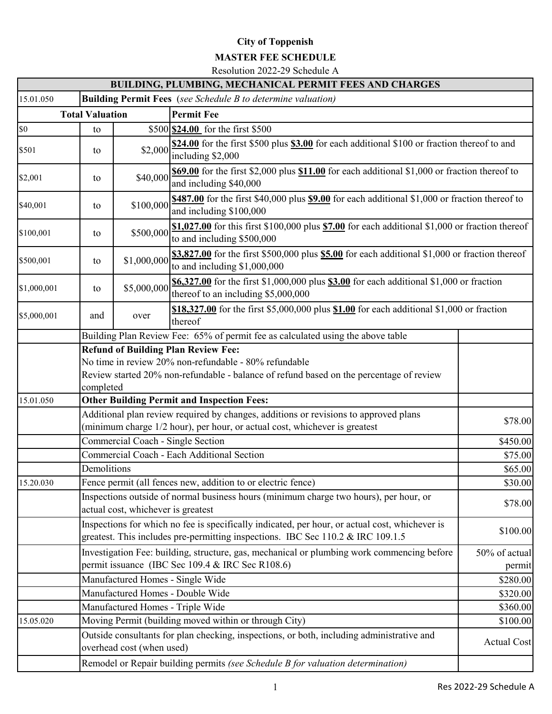## **City of Toppenish**

## **MASTER FEE SCHEDULE**

Resolution 2022-29 Schedule A

|             |                        |                                                                                                               | <b>BUILDING, PLUMBING, MECHANICAL PERMIT FEES AND CHARGES</b>                                                                                                                     |                                                                                              |  |  |  |  |
|-------------|------------------------|---------------------------------------------------------------------------------------------------------------|-----------------------------------------------------------------------------------------------------------------------------------------------------------------------------------|----------------------------------------------------------------------------------------------|--|--|--|--|
| 15.01.050   |                        |                                                                                                               | <b>Building Permit Fees</b> (see Schedule B to determine valuation)                                                                                                               |                                                                                              |  |  |  |  |
|             | <b>Total Valuation</b> |                                                                                                               | <b>Permit Fee</b>                                                                                                                                                                 |                                                                                              |  |  |  |  |
| \$0         | to                     |                                                                                                               | \$500 \$24.00 for the first \$500                                                                                                                                                 |                                                                                              |  |  |  |  |
| \$501       | to                     | \$2,000                                                                                                       | including \$2,000                                                                                                                                                                 | \$24.00 for the first \$500 plus \$3.00 for each additional \$100 or fraction thereof to and |  |  |  |  |
| \$2,001     | to                     | \$40,000                                                                                                      | \$69.00 for the first \$2,000 plus \$11.00 for each additional \$1,000 or fraction thereof to<br>and including \$40,000                                                           |                                                                                              |  |  |  |  |
| \$40,001    | to                     | \$100,000                                                                                                     | \$487.00 for the first \$40,000 plus \$9.00 for each additional \$1,000 or fraction thereof to<br>and including \$100,000                                                         |                                                                                              |  |  |  |  |
| \$100,001   | to                     | \$500,000                                                                                                     | $$1,027.00$ for this first \$100,000 plus $$7.00$ for each additional \$1,000 or fraction thereof<br>to and including \$500,000                                                   |                                                                                              |  |  |  |  |
| \$500,001   | to                     | \$1,000,000                                                                                                   | $\frac{$3,827.00}{2}$ for the first \$500,000 plus $\frac{$5.00}{2}$ for each additional \$1,000 or fraction thereof<br>to and including \$1,000,000                              |                                                                                              |  |  |  |  |
| \$1,000,001 | to                     | \$5,000,000                                                                                                   | \$6,327.00 for the first \$1,000,000 plus \$3.00 for each additional \$1,000 or fraction<br>thereof to an including \$5,000,000                                                   |                                                                                              |  |  |  |  |
| \$5,000,001 | and                    | \$18,327.00 for the first \$5,000,000 plus $$1.00$ for each additional \$1,000 or fraction<br>over<br>thereof |                                                                                                                                                                                   |                                                                                              |  |  |  |  |
|             |                        | Building Plan Review Fee: 65% of permit fee as calculated using the above table                               |                                                                                                                                                                                   |                                                                                              |  |  |  |  |
|             |                        | <b>Refund of Building Plan Review Fee:</b>                                                                    |                                                                                                                                                                                   |                                                                                              |  |  |  |  |
|             |                        |                                                                                                               | No time in review 20% non-refundable - 80% refundable                                                                                                                             |                                                                                              |  |  |  |  |
|             |                        |                                                                                                               | Review started 20% non-refundable - balance of refund based on the percentage of review                                                                                           |                                                                                              |  |  |  |  |
|             | completed              |                                                                                                               |                                                                                                                                                                                   |                                                                                              |  |  |  |  |
| 15.01.050   |                        |                                                                                                               | <b>Other Building Permit and Inspection Fees:</b>                                                                                                                                 |                                                                                              |  |  |  |  |
|             |                        |                                                                                                               | Additional plan review required by changes, additions or revisions to approved plans<br>(minimum charge 1/2 hour), per hour, or actual cost, whichever is greatest                | \$78.00                                                                                      |  |  |  |  |
|             |                        | Commercial Coach - Single Section                                                                             |                                                                                                                                                                                   | \$450.00                                                                                     |  |  |  |  |
|             |                        |                                                                                                               | Commercial Coach - Each Additional Section                                                                                                                                        | \$75.00                                                                                      |  |  |  |  |
|             | Demolitions            |                                                                                                               |                                                                                                                                                                                   | \$65.00                                                                                      |  |  |  |  |
| 15.20.030   |                        |                                                                                                               | Fence permit (all fences new, addition to or electric fence)                                                                                                                      | \$30.00                                                                                      |  |  |  |  |
|             |                        | actual cost, whichever is greatest                                                                            | Inspections outside of normal business hours (minimum charge two hours), per hour, or                                                                                             | \$78.00                                                                                      |  |  |  |  |
|             |                        |                                                                                                               | Inspections for which no fee is specifically indicated, per hour, or actual cost, whichever is<br>greatest. This includes pre-permitting inspections. IBC Sec 110.2 & IRC 109.1.5 | \$100.00                                                                                     |  |  |  |  |
|             |                        |                                                                                                               | Investigation Fee: building, structure, gas, mechanical or plumbing work commencing before<br>permit issuance (IBC Sec 109.4 & IRC Sec R108.6)                                    | 50% of actual<br>permit                                                                      |  |  |  |  |
|             |                        | Manufactured Homes - Single Wide                                                                              |                                                                                                                                                                                   |                                                                                              |  |  |  |  |
|             |                        |                                                                                                               | Manufactured Homes - Double Wide                                                                                                                                                  | \$280.00<br>\$320.00                                                                         |  |  |  |  |
|             |                        | Manufactured Homes - Triple Wide                                                                              |                                                                                                                                                                                   | \$360.00                                                                                     |  |  |  |  |
| 15.05.020   |                        |                                                                                                               | Moving Permit (building moved within or through City)                                                                                                                             | \$100.00                                                                                     |  |  |  |  |
|             |                        | overhead cost (when used)                                                                                     | Outside consultants for plan checking, inspections, or both, including administrative and                                                                                         | <b>Actual Cost</b>                                                                           |  |  |  |  |
|             |                        |                                                                                                               | Remodel or Repair building permits (see Schedule B for valuation determination)                                                                                                   |                                                                                              |  |  |  |  |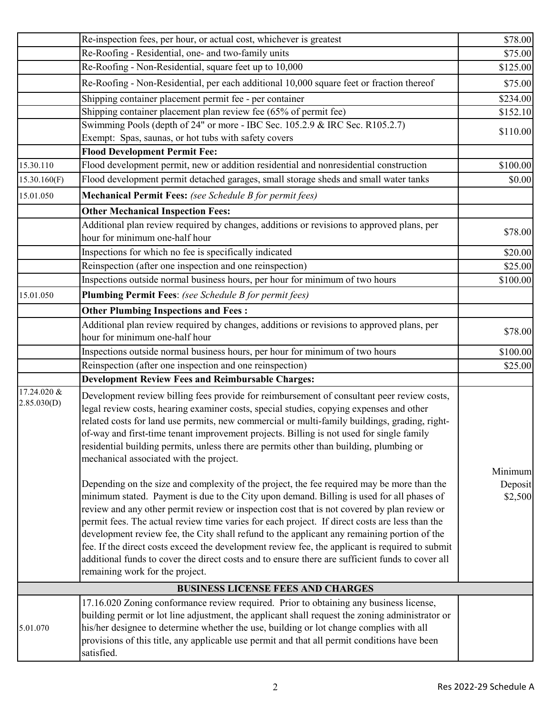|                            | Re-inspection fees, per hour, or actual cost, whichever is greatest                                                                                                                                                                                                                                                                                                                                                                                                                                                                                                                                                                                                                                                               | \$78.00            |
|----------------------------|-----------------------------------------------------------------------------------------------------------------------------------------------------------------------------------------------------------------------------------------------------------------------------------------------------------------------------------------------------------------------------------------------------------------------------------------------------------------------------------------------------------------------------------------------------------------------------------------------------------------------------------------------------------------------------------------------------------------------------------|--------------------|
|                            | Re-Roofing - Residential, one- and two-family units                                                                                                                                                                                                                                                                                                                                                                                                                                                                                                                                                                                                                                                                               | \$75.00            |
|                            | Re-Roofing - Non-Residential, square feet up to 10,000                                                                                                                                                                                                                                                                                                                                                                                                                                                                                                                                                                                                                                                                            | \$125.00           |
|                            | Re-Roofing - Non-Residential, per each additional 10,000 square feet or fraction thereof                                                                                                                                                                                                                                                                                                                                                                                                                                                                                                                                                                                                                                          | \$75.00            |
|                            | Shipping container placement permit fee - per container                                                                                                                                                                                                                                                                                                                                                                                                                                                                                                                                                                                                                                                                           | \$234.00           |
|                            | Shipping container placement plan review fee (65% of permit fee)                                                                                                                                                                                                                                                                                                                                                                                                                                                                                                                                                                                                                                                                  | \$152.10           |
|                            | Swimming Pools (depth of 24" or more - IBC Sec. 105.2.9 & IRC Sec. R105.2.7)                                                                                                                                                                                                                                                                                                                                                                                                                                                                                                                                                                                                                                                      | \$110.00           |
|                            | Exempt: Spas, saunas, or hot tubs with safety covers                                                                                                                                                                                                                                                                                                                                                                                                                                                                                                                                                                                                                                                                              |                    |
|                            | <b>Flood Development Permit Fee:</b>                                                                                                                                                                                                                                                                                                                                                                                                                                                                                                                                                                                                                                                                                              |                    |
| 15.30.110                  | Flood development permit, new or addition residential and nonresidential construction                                                                                                                                                                                                                                                                                                                                                                                                                                                                                                                                                                                                                                             | \$100.00           |
| 15.30.160(F)               | Flood development permit detached garages, small storage sheds and small water tanks                                                                                                                                                                                                                                                                                                                                                                                                                                                                                                                                                                                                                                              | \$0.00             |
| 15.01.050                  | Mechanical Permit Fees: (see Schedule B for permit fees)                                                                                                                                                                                                                                                                                                                                                                                                                                                                                                                                                                                                                                                                          |                    |
|                            | <b>Other Mechanical Inspection Fees:</b>                                                                                                                                                                                                                                                                                                                                                                                                                                                                                                                                                                                                                                                                                          |                    |
|                            | Additional plan review required by changes, additions or revisions to approved plans, per                                                                                                                                                                                                                                                                                                                                                                                                                                                                                                                                                                                                                                         | \$78.00            |
|                            | hour for minimum one-half hour                                                                                                                                                                                                                                                                                                                                                                                                                                                                                                                                                                                                                                                                                                    |                    |
|                            | Inspections for which no fee is specifically indicated                                                                                                                                                                                                                                                                                                                                                                                                                                                                                                                                                                                                                                                                            | \$20.00            |
|                            | Reinspection (after one inspection and one reinspection)                                                                                                                                                                                                                                                                                                                                                                                                                                                                                                                                                                                                                                                                          | \$25.00            |
|                            | Inspections outside normal business hours, per hour for minimum of two hours                                                                                                                                                                                                                                                                                                                                                                                                                                                                                                                                                                                                                                                      | \$100.00           |
| 15.01.050                  | Plumbing Permit Fees: (see Schedule B for permit fees)                                                                                                                                                                                                                                                                                                                                                                                                                                                                                                                                                                                                                                                                            |                    |
|                            | <b>Other Plumbing Inspections and Fees:</b>                                                                                                                                                                                                                                                                                                                                                                                                                                                                                                                                                                                                                                                                                       |                    |
|                            | Additional plan review required by changes, additions or revisions to approved plans, per                                                                                                                                                                                                                                                                                                                                                                                                                                                                                                                                                                                                                                         | \$78.00            |
|                            | hour for minimum one-half hour                                                                                                                                                                                                                                                                                                                                                                                                                                                                                                                                                                                                                                                                                                    |                    |
|                            | Inspections outside normal business hours, per hour for minimum of two hours                                                                                                                                                                                                                                                                                                                                                                                                                                                                                                                                                                                                                                                      | \$100.00           |
|                            | Reinspection (after one inspection and one reinspection)                                                                                                                                                                                                                                                                                                                                                                                                                                                                                                                                                                                                                                                                          | \$25.00            |
|                            | <b>Development Review Fees and Reimbursable Charges:</b>                                                                                                                                                                                                                                                                                                                                                                                                                                                                                                                                                                                                                                                                          |                    |
| 17.24.020 &<br>2.85.030(D) | Development review billing fees provide for reimbursement of consultant peer review costs,<br>legal review costs, hearing examiner costs, special studies, copying expenses and other<br>related costs for land use permits, new commercial or multi-family buildings, grading, right-<br>of-way and first-time tenant improvement projects. Billing is not used for single family<br>residential building permits, unless there are permits other than building, plumbing or<br>mechanical associated with the project.                                                                                                                                                                                                          | Minimum            |
|                            | Depending on the size and complexity of the project, the fee required may be more than the<br>minimum stated. Payment is due to the City upon demand. Billing is used for all phases of<br>review and any other permit review or inspection cost that is not covered by plan review or<br>permit fees. The actual review time varies for each project. If direct costs are less than the<br>development review fee, the City shall refund to the applicant any remaining portion of the<br>fee. If the direct costs exceed the development review fee, the applicant is required to submit<br>additional funds to cover the direct costs and to ensure there are sufficient funds to cover all<br>remaining work for the project. | Deposit<br>\$2,500 |
|                            | <b>BUSINESS LICENSE FEES AND CHARGES</b>                                                                                                                                                                                                                                                                                                                                                                                                                                                                                                                                                                                                                                                                                          |                    |
| 5.01.070                   | 17.16.020 Zoning conformance review required. Prior to obtaining any business license,<br>building permit or lot line adjustment, the applicant shall request the zoning administrator or<br>his/her designee to determine whether the use, building or lot change complies with all<br>provisions of this title, any applicable use permit and that all permit conditions have been<br>satisfied.                                                                                                                                                                                                                                                                                                                                |                    |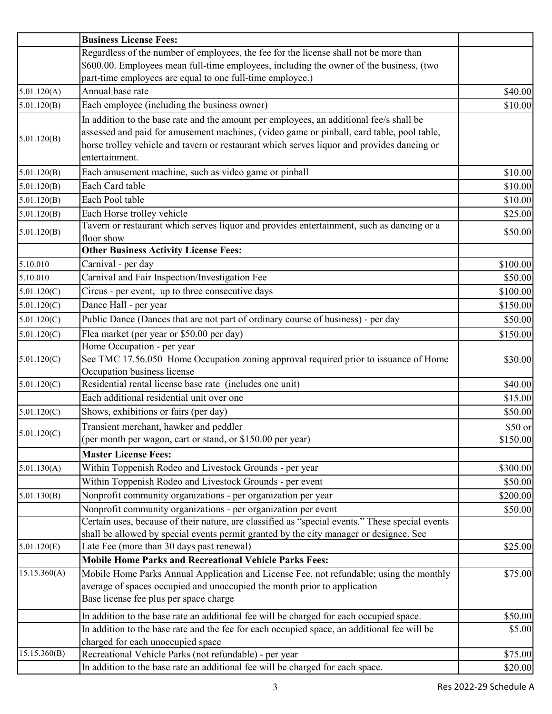|              | <b>Business License Fees:</b>                                                                   |          |
|--------------|-------------------------------------------------------------------------------------------------|----------|
|              | Regardless of the number of employees, the fee for the license shall not be more than           |          |
|              | \$600.00. Employees mean full-time employees, including the owner of the business, (two         |          |
|              | part-time employees are equal to one full-time employee.)                                       |          |
| 5.01.120(A)  | Annual base rate                                                                                | \$40.00  |
| 5.01.120(B)  | Each employee (including the business owner)                                                    | \$10.00  |
|              | In addition to the base rate and the amount per employees, an additional fee/s shall be         |          |
| 5.01.120(B)  | assessed and paid for amusement machines, (video game or pinball, card table, pool table,       |          |
|              | horse trolley vehicle and tavern or restaurant which serves liquor and provides dancing or      |          |
|              | entertainment.                                                                                  |          |
| 5.01.120(B)  | Each amusement machine, such as video game or pinball                                           | \$10.00  |
| 5.01.120(B)  | Each Card table                                                                                 | \$10.00  |
| 5.01.120(B)  | Each Pool table                                                                                 | \$10.00  |
| 5.01.120(B)  | Each Horse trolley vehicle                                                                      | \$25.00  |
| 5.01.120(B)  | Tavern or restaurant which serves liquor and provides entertainment, such as dancing or a       | \$50.00  |
|              | floor show                                                                                      |          |
|              | <b>Other Business Activity License Fees:</b>                                                    |          |
| 5.10.010     | Carnival - per day                                                                              | \$100.00 |
| 5.10.010     | Carnival and Fair Inspection/Investigation Fee                                                  | \$50.00  |
| 5.01.120(C)  | Circus - per event, up to three consecutive days                                                | \$100.00 |
| 5.01.120(C)  | Dance Hall - per year                                                                           | \$150.00 |
| 5.01.120(C)  | Public Dance (Dances that are not part of ordinary course of business) - per day                | \$50.00  |
| 5.01.120(C)  | Flea market (per year or \$50.00 per day)                                                       | \$150.00 |
|              | Home Occupation - per year                                                                      |          |
| 5.01.120(C)  | See TMC 17.56.050 Home Occupation zoning approval required prior to issuance of Home            | \$30.00  |
|              | Occupation business license                                                                     |          |
| 5.01.120(C)  | Residential rental license base rate (includes one unit)                                        | \$40.00  |
|              | Each additional residential unit over one                                                       | \$15.00  |
| 5.01.120(C)  | Shows, exhibitions or fairs (per day)                                                           | \$50.00  |
| 5.01.120(C)  | Transient merchant, hawker and peddler                                                          | \$50 or  |
|              | (per month per wagon, cart or stand, or \$150.00 per year)                                      | \$150.00 |
|              | <b>Master License Fees:</b>                                                                     |          |
| 5.01.130(A)  | Within Toppenish Rodeo and Livestock Grounds - per year                                         | \$300.00 |
|              | Within Toppenish Rodeo and Livestock Grounds - per event                                        | \$50.00  |
| 5.01.130(B)  | Nonprofit community organizations - per organization per year                                   | \$200.00 |
|              | Nonprofit community organizations - per organization per event                                  | \$50.00  |
|              | Certain uses, because of their nature, are classified as "special events." These special events |          |
|              | shall be allowed by special events permit granted by the city manager or designee. See          |          |
| 5.01.120(E)  | Late Fee (more than 30 days past renewal)                                                       | \$25.00  |
|              | <b>Mobile Home Parks and Recreational Vehicle Parks Fees:</b>                                   |          |
| 15.15.360(A) | Mobile Home Parks Annual Application and License Fee, not refundable; using the monthly         | \$75.00  |
|              | average of spaces occupied and unoccupied the month prior to application                        |          |
|              | Base license fee plus per space charge                                                          |          |
|              | In addition to the base rate an additional fee will be charged for each occupied space.         | \$50.00  |
|              | In addition to the base rate and the fee for each occupied space, an additional fee will be     | \$5.00   |
|              | charged for each unoccupied space                                                               |          |
| 15.15.360(B) | Recreational Vehicle Parks (not refundable) - per year                                          | \$75.00  |
|              | In addition to the base rate an additional fee will be charged for each space.                  | \$20.00  |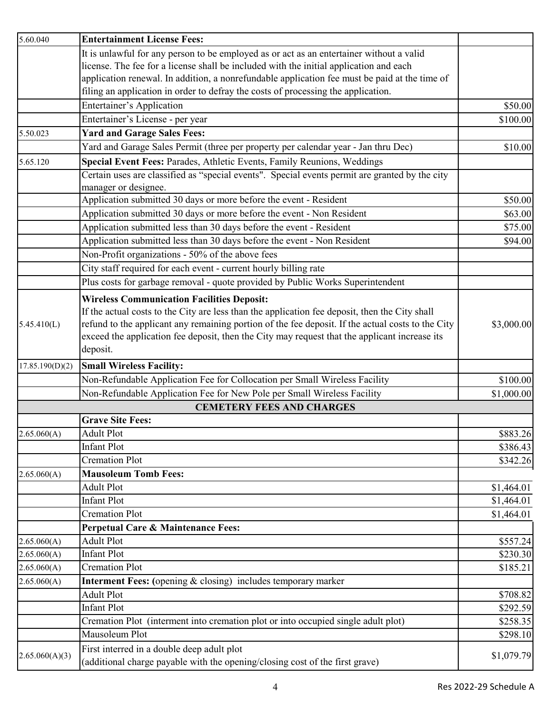| 5.60.040        | <b>Entertainment License Fees:</b>                                                                                         |            |
|-----------------|----------------------------------------------------------------------------------------------------------------------------|------------|
|                 | It is unlawful for any person to be employed as or act as an entertainer without a valid                                   |            |
|                 | license. The fee for a license shall be included with the initial application and each                                     |            |
|                 | application renewal. In addition, a nonrefundable application fee must be paid at the time of                              |            |
|                 | filing an application in order to defray the costs of processing the application.                                          |            |
|                 | Entertainer's Application                                                                                                  | \$50.00    |
|                 | Entertainer's License - per year                                                                                           | \$100.00   |
| 5.50.023        | <b>Yard and Garage Sales Fees:</b>                                                                                         |            |
|                 | Yard and Garage Sales Permit (three per property per calendar year - Jan thru Dec)                                         | \$10.00    |
| 5.65.120        | Special Event Fees: Parades, Athletic Events, Family Reunions, Weddings                                                    |            |
|                 | Certain uses are classified as "special events". Special events permit are granted by the city                             |            |
|                 | manager or designee.                                                                                                       |            |
|                 | Application submitted 30 days or more before the event - Resident                                                          | \$50.00    |
|                 | Application submitted 30 days or more before the event - Non Resident                                                      | \$63.00    |
|                 | Application submitted less than 30 days before the event - Resident                                                        | \$75.00    |
|                 | Application submitted less than 30 days before the event - Non Resident                                                    | \$94.00    |
|                 | Non-Profit organizations - 50% of the above fees                                                                           |            |
|                 | City staff required for each event - current hourly billing rate                                                           |            |
|                 | Plus costs for garbage removal - quote provided by Public Works Superintendent                                             |            |
|                 | <b>Wireless Communication Facilities Deposit:</b>                                                                          |            |
|                 | If the actual costs to the City are less than the application fee deposit, then the City shall                             |            |
| 5.45.410(L)     | refund to the applicant any remaining portion of the fee deposit. If the actual costs to the City                          | \$3,000.00 |
|                 | exceed the application fee deposit, then the City may request that the applicant increase its                              |            |
|                 | deposit.                                                                                                                   |            |
| 17.85.190(D)(2) | <b>Small Wireless Facility:</b>                                                                                            |            |
|                 | Non-Refundable Application Fee for Collocation per Small Wireless Facility                                                 | \$100.00   |
|                 | Non-Refundable Application Fee for New Pole per Small Wireless Facility                                                    | \$1,000.00 |
|                 | <b>CEMETERY FEES AND CHARGES</b>                                                                                           |            |
|                 | <b>Grave Site Fees:</b>                                                                                                    |            |
| 2.65.060(A)     | <b>Adult Plot</b>                                                                                                          | \$883.26   |
|                 | <b>Infant Plot</b>                                                                                                         | \$386.43   |
|                 | <b>Cremation Plot</b>                                                                                                      | \$342.26   |
| 2.65.060(A)     | <b>Mausoleum Tomb Fees:</b>                                                                                                |            |
|                 | <b>Adult Plot</b>                                                                                                          | \$1,464.01 |
|                 | <b>Infant Plot</b>                                                                                                         | \$1,464.01 |
|                 | <b>Cremation Plot</b>                                                                                                      | \$1,464.01 |
|                 | Perpetual Care & Maintenance Fees:                                                                                         |            |
| 2.65.060(A)     | <b>Adult Plot</b>                                                                                                          | \$557.24   |
| 2.65.060(A)     | <b>Infant Plot</b>                                                                                                         | \$230.30   |
| 2.65.060(A)     | <b>Cremation Plot</b>                                                                                                      | \$185.21   |
| 2.65.060(A)     | <b>Interment Fees:</b> (opening & closing) includes temporary marker                                                       |            |
|                 | <b>Adult Plot</b>                                                                                                          | \$708.82   |
|                 | <b>Infant Plot</b>                                                                                                         | \$292.59   |
|                 | Cremation Plot (interment into cremation plot or into occupied single adult plot)                                          | \$258.35   |
|                 | Mausoleum Plot                                                                                                             | \$298.10   |
| 2.65.060(A)(3)  | First interred in a double deep adult plot<br>(additional charge payable with the opening/closing cost of the first grave) | \$1,079.79 |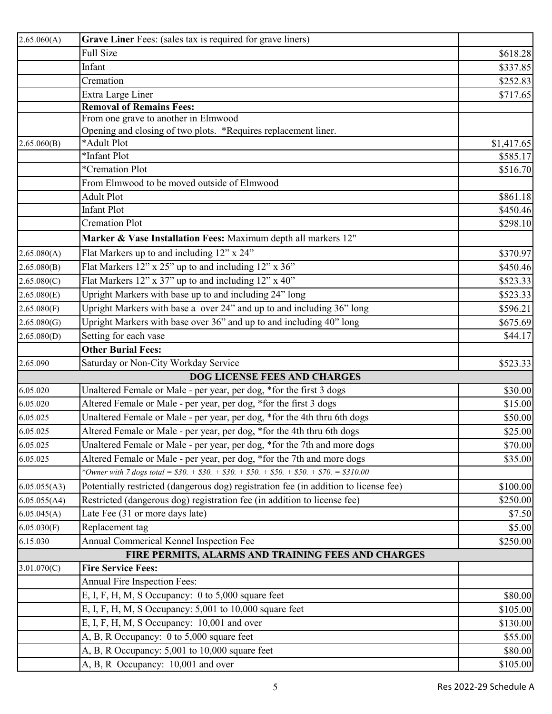| 2.65.060(A)  | Grave Liner Fees: (sales tax is required for grave liners)                            |            |
|--------------|---------------------------------------------------------------------------------------|------------|
|              | <b>Full Size</b>                                                                      | \$618.28   |
|              | Infant                                                                                | \$337.85   |
|              | Cremation                                                                             | \$252.83   |
|              | Extra Large Liner                                                                     | \$717.65   |
|              | <b>Removal of Remains Fees:</b>                                                       |            |
|              | From one grave to another in Elmwood                                                  |            |
|              | Opening and closing of two plots. *Requires replacement liner.                        |            |
| 2.65.060(B)  | *Adult Plot                                                                           | \$1,417.65 |
|              | *Infant Plot                                                                          | \$585.17   |
|              | *Cremation Plot                                                                       | \$516.70   |
|              | From Elmwood to be moved outside of Elmwood                                           |            |
|              | <b>Adult Plot</b>                                                                     | \$861.18   |
|              | <b>Infant Plot</b>                                                                    | \$450.46   |
|              | <b>Cremation Plot</b>                                                                 | \$298.10   |
|              | Marker & Vase Installation Fees: Maximum depth all markers 12"                        |            |
| 2.65.080(A)  | Flat Markers up to and including 12" x 24"                                            | \$370.97   |
| 2.65.080(B)  | Flat Markers 12" x 25" up to and including 12" x 36"                                  | \$450.46   |
| 2.65.080(C)  | Flat Markers 12" x $37"$ up to and including 12" x 40"                                | \$523.33   |
| 2.65.080(E)  | Upright Markers with base up to and including 24" long                                | \$523.33   |
| 2.65.080(F)  | Upright Markers with base a over 24" and up to and including 36" long                 | \$596.21   |
| 2.65.080(G)  | Upright Markers with base over 36" and up to and including 40" long                   | \$675.69   |
| 2.65.080(D)  | Setting for each vase                                                                 | \$44.17    |
|              | <b>Other Burial Fees:</b>                                                             |            |
| 2.65.090     | Saturday or Non-City Workday Service                                                  | \$523.33   |
|              | <b>DOG LICENSE FEES AND CHARGES</b>                                                   |            |
| 6.05.020     | Unaltered Female or Male - per year, per dog, *for the first 3 dogs                   | \$30.00    |
| 6.05.020     | Altered Female or Male - per year, per dog, *for the first 3 dogs                     | \$15.00    |
| 6.05.025     | Unaltered Female or Male - per year, per dog, *for the 4th thru 6th dogs              | \$50.00    |
| 6.05.025     | Altered Female or Male - per year, per dog, *for the 4th thru 6th dogs                | \$25.00    |
| 6.05.025     | Unaltered Female or Male - per year, per dog, *for the 7th and more dogs              | \$70.00    |
| 6.05.025     | Altered Female or Male - per year, per dog, *for the 7th and more dogs                | \$35.00    |
|              | *Owner with 7 dogs total = $$30. + $30. + $30. + $50. + $50. + $50. + $70. = $310.00$ |            |
| 6.05.055(A3) | Potentially restricted (dangerous dog) registration fee (in addition to license fee)  | \$100.00   |
| 6.05.055(A4) | Restricted (dangerous dog) registration fee (in addition to license fee)              | \$250.00   |
| 6.05.045(A)  | Late Fee (31 or more days late)                                                       | \$7.50     |
| 6.05.030(F)  | Replacement tag                                                                       | \$5.00     |
| 6.15.030     | Annual Commerical Kennel Inspection Fee                                               | \$250.00   |
|              | FIRE PERMITS, ALARMS AND TRAINING FEES AND CHARGES                                    |            |
| 3.01.070(C)  | <b>Fire Service Fees:</b>                                                             |            |
|              | Annual Fire Inspection Fees:                                                          |            |
|              | E, I, F, H, M, S Occupancy: 0 to 5,000 square feet                                    | \$80.00    |
|              | E, I, F, H, M, S Occupancy: 5,001 to 10,000 square feet                               | \$105.00   |
|              | E, I, F, H, M, S Occupancy: 10,001 and over                                           | \$130.00   |
|              | A, B, R Occupancy: 0 to 5,000 square feet                                             | \$55.00    |
|              | A, B, R Occupancy: 5,001 to 10,000 square feet                                        | \$80.00    |
|              | A, B, R Occupancy: 10,001 and over                                                    | \$105.00   |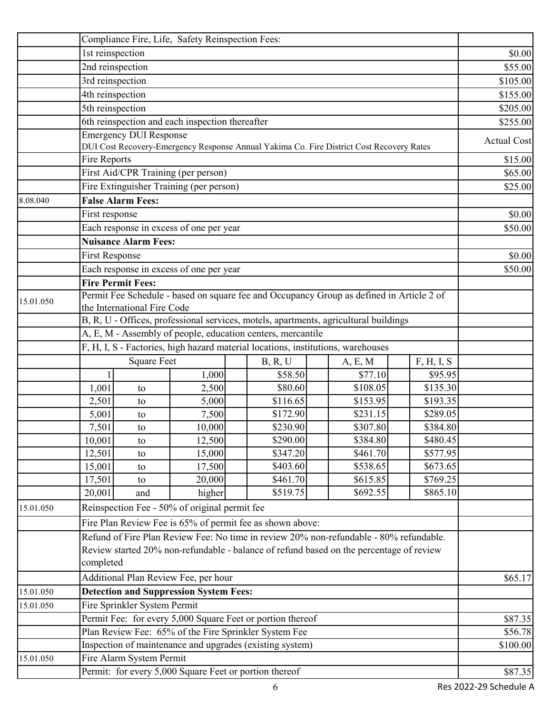|           | Compliance Fire, Life, Safety Reinspection Fees:                                                                        |                               |                                                        |                                                                                          |          |          |                    |
|-----------|-------------------------------------------------------------------------------------------------------------------------|-------------------------------|--------------------------------------------------------|------------------------------------------------------------------------------------------|----------|----------|--------------------|
|           | 1st reinspection                                                                                                        |                               |                                                        |                                                                                          |          |          | \$0.00             |
|           | 2nd reinspection                                                                                                        |                               |                                                        |                                                                                          |          |          | \$55.00            |
|           | 3rd reinspection                                                                                                        |                               |                                                        |                                                                                          |          |          | \$105.00           |
|           | 4th reinspection                                                                                                        |                               |                                                        |                                                                                          |          |          | \$155.00           |
|           | 5th reinspection                                                                                                        |                               |                                                        |                                                                                          |          |          | \$205.00           |
|           |                                                                                                                         |                               | 6th reinspection and each inspection thereafter        |                                                                                          |          |          | \$255.00           |
|           |                                                                                                                         | <b>Emergency DUI Response</b> |                                                        |                                                                                          |          |          |                    |
|           |                                                                                                                         |                               |                                                        | DUI Cost Recovery-Emergency Response Annual Yakima Co. Fire District Cost Recovery Rates |          |          | <b>Actual Cost</b> |
|           | Fire Reports                                                                                                            |                               |                                                        |                                                                                          |          |          | \$15.00            |
|           |                                                                                                                         |                               | First Aid/CPR Training (per person)                    |                                                                                          |          |          | \$65.00            |
|           |                                                                                                                         |                               | Fire Extinguisher Training (per person)                |                                                                                          |          |          | \$25.00            |
| 8.08.040  | <b>False Alarm Fees:</b>                                                                                                |                               |                                                        |                                                                                          |          |          |                    |
|           | First response                                                                                                          |                               |                                                        |                                                                                          |          |          | \$0.00             |
|           |                                                                                                                         |                               | Each response in excess of one per year                |                                                                                          |          |          | \$50.00            |
|           |                                                                                                                         | Nuisance Alarm Fees:          |                                                        |                                                                                          |          |          |                    |
|           | <b>First Response</b>                                                                                                   |                               |                                                        |                                                                                          |          |          | \$0.00             |
|           |                                                                                                                         |                               | Each response in excess of one per year                |                                                                                          |          |          | \$50.00            |
|           | <b>Fire Permit Fees:</b>                                                                                                |                               |                                                        |                                                                                          |          |          |                    |
|           |                                                                                                                         |                               |                                                        |                                                                                          |          |          |                    |
| 15.01.050 | Permit Fee Schedule - based on square fee and Occupancy Group as defined in Article 2 of<br>the International Fire Code |                               |                                                        |                                                                                          |          |          |                    |
|           | B, R, U - Offices, professional services, motels, apartments, agricultural buildings                                    |                               |                                                        |                                                                                          |          |          |                    |
|           | A, E, M - Assembly of people, education centers, mercantile                                                             |                               |                                                        |                                                                                          |          |          |                    |
|           |                                                                                                                         |                               |                                                        | F, H, I, S - Factories, high hazard material locations, institutions, warehouses         |          |          |                    |
|           | <b>Square Feet</b><br>F, H, I, S<br>B, R, U<br>A, E, M                                                                  |                               |                                                        |                                                                                          |          |          |                    |
|           |                                                                                                                         |                               | 1,000                                                  | \$58.50                                                                                  | \$77.10  | \$95.95  |                    |
|           | 1,001                                                                                                                   | to                            | 2,500                                                  | \$80.60                                                                                  | \$108.05 | \$135.30 |                    |
|           | 2,501                                                                                                                   | to                            | 5,000                                                  | \$116.65                                                                                 | \$153.95 | \$193.35 |                    |
|           | 5,001                                                                                                                   | to                            | 7,500                                                  | \$172.90                                                                                 | \$231.15 | \$289.05 |                    |
|           | 7,501                                                                                                                   | to                            | 10,000                                                 | \$230.90                                                                                 | \$307.80 | \$384.80 |                    |
|           | 10,001                                                                                                                  | to                            | 12,500                                                 | \$290.00                                                                                 | \$384.80 | \$480.45 |                    |
|           | 12,501                                                                                                                  | to                            | 15,000                                                 | \$347.20                                                                                 | \$461.70 | \$577.95 |                    |
|           | 15,001                                                                                                                  | to                            | 17,500                                                 | \$403.60                                                                                 | \$538.65 | \$673.65 |                    |
|           | 17,501                                                                                                                  | to                            | 20,000                                                 | \$461.70                                                                                 | \$615.85 | \$769.25 |                    |
|           | 20,001                                                                                                                  | and                           | higher                                                 | \$519.75                                                                                 | \$692.55 | \$865.10 |                    |
| 15.01.050 |                                                                                                                         |                               | Reinspection Fee - 50% of original permit fee          |                                                                                          |          |          |                    |
|           |                                                                                                                         |                               |                                                        | Fire Plan Review Fee is 65% of permit fee as shown above:                                |          |          |                    |
|           |                                                                                                                         |                               |                                                        | Refund of Fire Plan Review Fee: No time in review 20% non-refundable - 80% refundable.   |          |          |                    |
|           |                                                                                                                         |                               |                                                        |                                                                                          |          |          |                    |
|           | Review started 20% non-refundable - balance of refund based on the percentage of review<br>completed                    |                               |                                                        |                                                                                          |          |          |                    |
|           | Additional Plan Review Fee, per hour                                                                                    |                               |                                                        |                                                                                          |          | \$65.17  |                    |
| 15.01.050 |                                                                                                                         |                               | <b>Detection and Suppression System Fees:</b>          |                                                                                          |          |          |                    |
|           |                                                                                                                         |                               |                                                        |                                                                                          |          |          |                    |
| 15.01.050 | Fire Sprinkler System Permit<br>Permit Fee: for every 5,000 Square Feet or portion thereof                              |                               |                                                        |                                                                                          |          |          |                    |
|           |                                                                                                                         |                               |                                                        |                                                                                          |          |          | \$87.35<br>\$56.78 |
|           | Plan Review Fee: 65% of the Fire Sprinkler System Fee<br>Inspection of maintenance and upgrades (existing system)       |                               |                                                        |                                                                                          | \$100.00 |          |                    |
| 15.01.050 |                                                                                                                         | Fire Alarm System Permit      |                                                        |                                                                                          |          |          |                    |
|           |                                                                                                                         |                               | Permit: for every 5,000 Square Feet or portion thereof |                                                                                          |          |          |                    |
|           |                                                                                                                         |                               |                                                        |                                                                                          |          |          | \$87.35            |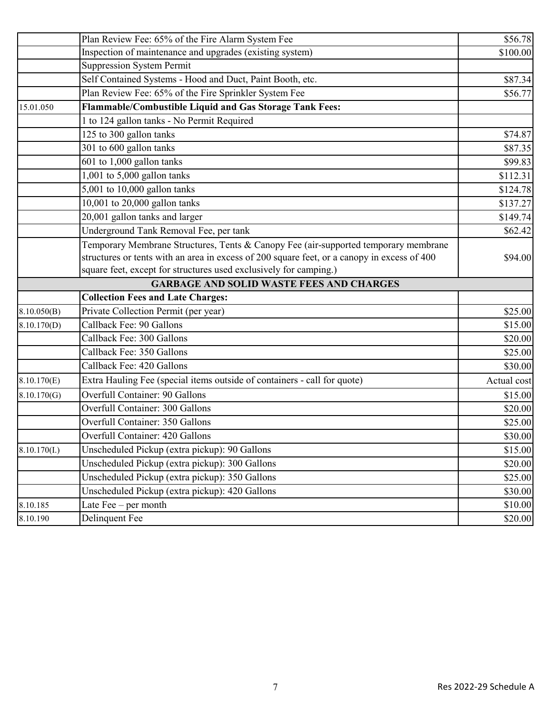|             | Plan Review Fee: 65% of the Fire Alarm System Fee                                           | \$56.78     |
|-------------|---------------------------------------------------------------------------------------------|-------------|
|             | Inspection of maintenance and upgrades (existing system)                                    | \$100.00    |
|             | <b>Suppression System Permit</b>                                                            |             |
|             | Self Contained Systems - Hood and Duct, Paint Booth, etc.                                   | \$87.34     |
|             | Plan Review Fee: 65% of the Fire Sprinkler System Fee                                       | \$56.77     |
| 15.01.050   | Flammable/Combustible Liquid and Gas Storage Tank Fees:                                     |             |
|             | 1 to 124 gallon tanks - No Permit Required                                                  |             |
|             | 125 to 300 gallon tanks                                                                     | \$74.87     |
|             | 301 to 600 gallon tanks                                                                     | \$87.35     |
|             | 601 to 1,000 gallon tanks                                                                   | \$99.83     |
|             | 1,001 to 5,000 gallon tanks                                                                 | \$112.31    |
|             | 5,001 to 10,000 gallon tanks                                                                | \$124.78    |
|             | 10,001 to 20,000 gallon tanks                                                               | \$137.27    |
|             | 20,001 gallon tanks and larger                                                              | \$149.74    |
|             | Underground Tank Removal Fee, per tank                                                      | \$62.42     |
|             | Temporary Membrane Structures, Tents & Canopy Fee (air-supported temporary membrane         |             |
|             | structures or tents with an area in excess of 200 square feet, or a canopy in excess of 400 | \$94.00     |
|             | square feet, except for structures used exclusively for camping.)                           |             |
|             | <b>GARBAGE AND SOLID WASTE FEES AND CHARGES</b>                                             |             |
|             | <b>Collection Fees and Late Charges:</b>                                                    |             |
| 8.10.050(B) | Private Collection Permit (per year)                                                        | \$25.00     |
| 8.10.170(D) | Callback Fee: 90 Gallons                                                                    | \$15.00     |
|             | Callback Fee: 300 Gallons                                                                   | \$20.00     |
|             | Callback Fee: 350 Gallons                                                                   | \$25.00     |
|             | Callback Fee: 420 Gallons                                                                   | \$30.00     |
| 8.10.170(E) | Extra Hauling Fee (special items outside of containers - call for quote)                    | Actual cost |
| 8.10.170(G) | <b>Overfull Container: 90 Gallons</b>                                                       | \$15.00     |
|             | Overfull Container: 300 Gallons                                                             | \$20.00     |
|             | Overfull Container: 350 Gallons                                                             | \$25.00     |
|             | Overfull Container: 420 Gallons                                                             | \$30.00     |
| 8.10.170(L) | Unscheduled Pickup (extra pickup): 90 Gallons                                               | \$15.00     |
|             | Unscheduled Pickup (extra pickup): 300 Gallons                                              | \$20.00     |
|             | Unscheduled Pickup (extra pickup): 350 Gallons                                              | \$25.00     |
|             | Unscheduled Pickup (extra pickup): 420 Gallons                                              | \$30.00     |
| 8.10.185    | Late $\text{Fee}-\text{per month}$                                                          | \$10.00     |
| 8.10.190    | Delinquent Fee                                                                              | \$20.00     |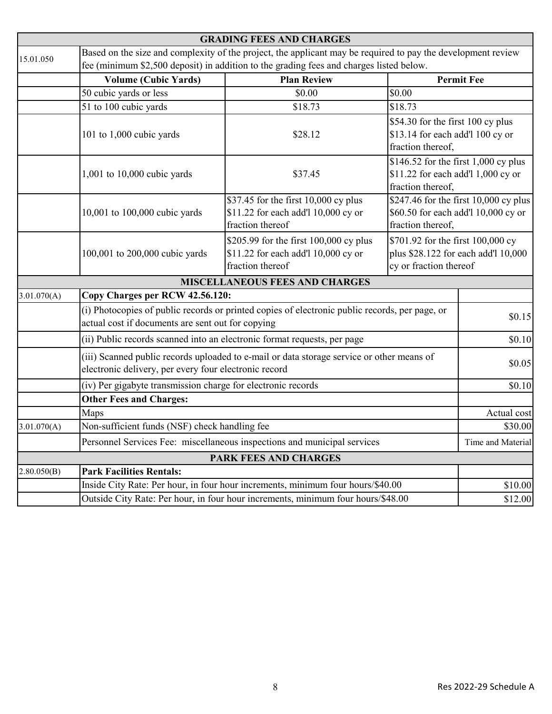|             |                                                                                                                                                    | <b>GRADING FEES AND CHARGES</b>                                                                                                                                                                         |                                                                                                                                                                                                                                                                                                      |                   |  |  |
|-------------|----------------------------------------------------------------------------------------------------------------------------------------------------|---------------------------------------------------------------------------------------------------------------------------------------------------------------------------------------------------------|------------------------------------------------------------------------------------------------------------------------------------------------------------------------------------------------------------------------------------------------------------------------------------------------------|-------------------|--|--|
| 15.01.050   |                                                                                                                                                    | Based on the size and complexity of the project, the applicant may be required to pay the development review<br>fee (minimum \$2,500 deposit) in addition to the grading fees and charges listed below. |                                                                                                                                                                                                                                                                                                      |                   |  |  |
|             | <b>Volume (Cubic Yards)</b>                                                                                                                        | <b>Plan Review</b>                                                                                                                                                                                      | <b>Permit Fee</b>                                                                                                                                                                                                                                                                                    |                   |  |  |
|             | 50 cubic yards or less                                                                                                                             | \$0.00                                                                                                                                                                                                  | \$0.00                                                                                                                                                                                                                                                                                               |                   |  |  |
|             | 51 to 100 cubic yards                                                                                                                              | \$18.73                                                                                                                                                                                                 | \$18.73                                                                                                                                                                                                                                                                                              |                   |  |  |
|             | 101 to 1,000 cubic yards                                                                                                                           | \$28.12                                                                                                                                                                                                 | \$54.30 for the first 100 cy plus<br>\$13.14 for each add'l 100 cy or<br>fraction thereof,<br>\$146.52 for the first 1,000 cy plus<br>\$11.22 for each add'l 1,000 cy or<br>fraction thereof,<br>\$247.46 for the first $10,000$ cy plus<br>\$60.50 for each add'l 10,000 cy or<br>fraction thereof, |                   |  |  |
|             | 1,001 to 10,000 cubic yards                                                                                                                        | \$37.45                                                                                                                                                                                                 |                                                                                                                                                                                                                                                                                                      |                   |  |  |
|             | 10,001 to 100,000 cubic yards                                                                                                                      | \$37.45 for the first 10,000 cy plus<br>\$11.22 for each add'l 10,000 cy or<br>fraction thereof                                                                                                         |                                                                                                                                                                                                                                                                                                      |                   |  |  |
|             | 100,001 to 200,000 cubic yards                                                                                                                     | \$205.99 for the first 100,000 cy plus<br>\$11.22 for each add'l 10,000 cy or<br>fraction thereof                                                                                                       | \$701.92 for the first 100,000 cy<br>plus \$28.122 for each add'l 10,000<br>cy or fraction thereof                                                                                                                                                                                                   |                   |  |  |
|             |                                                                                                                                                    | <b>MISCELLANEOUS FEES AND CHARGES</b>                                                                                                                                                                   |                                                                                                                                                                                                                                                                                                      |                   |  |  |
| 3.01.070(A) | Copy Charges per RCW 42.56.120:                                                                                                                    |                                                                                                                                                                                                         |                                                                                                                                                                                                                                                                                                      |                   |  |  |
|             | actual cost if documents are sent out for copying                                                                                                  | (i) Photocopies of public records or printed copies of electronic public records, per page, or                                                                                                          |                                                                                                                                                                                                                                                                                                      | \$0.15            |  |  |
|             | (ii) Public records scanned into an electronic format requests, per page                                                                           | \$0.10                                                                                                                                                                                                  |                                                                                                                                                                                                                                                                                                      |                   |  |  |
|             | (iii) Scanned public records uploaded to e-mail or data storage service or other means of<br>electronic delivery, per every four electronic record |                                                                                                                                                                                                         |                                                                                                                                                                                                                                                                                                      | \$0.05            |  |  |
|             | (iv) Per gigabyte transmission charge for electronic records                                                                                       |                                                                                                                                                                                                         |                                                                                                                                                                                                                                                                                                      | \$0.10            |  |  |
|             | <b>Other Fees and Charges:</b>                                                                                                                     |                                                                                                                                                                                                         |                                                                                                                                                                                                                                                                                                      |                   |  |  |
|             | Maps                                                                                                                                               |                                                                                                                                                                                                         |                                                                                                                                                                                                                                                                                                      | Actual cost       |  |  |
| 3.01.070(A) | Non-sufficient funds (NSF) check handling fee                                                                                                      |                                                                                                                                                                                                         |                                                                                                                                                                                                                                                                                                      | \$30.00           |  |  |
|             |                                                                                                                                                    | Personnel Services Fee: miscellaneous inspections and municipal services                                                                                                                                |                                                                                                                                                                                                                                                                                                      | Time and Material |  |  |
|             |                                                                                                                                                    | <b>PARK FEES AND CHARGES</b>                                                                                                                                                                            |                                                                                                                                                                                                                                                                                                      |                   |  |  |
| 2.80.050(B) | <b>Park Facilities Rentals:</b>                                                                                                                    |                                                                                                                                                                                                         |                                                                                                                                                                                                                                                                                                      |                   |  |  |
|             |                                                                                                                                                    | Inside City Rate: Per hour, in four hour increments, minimum four hours/\$40.00                                                                                                                         |                                                                                                                                                                                                                                                                                                      | \$10.00           |  |  |
|             | Outside City Rate: Per hour, in four hour increments, minimum four hours/\$48.00                                                                   |                                                                                                                                                                                                         |                                                                                                                                                                                                                                                                                                      |                   |  |  |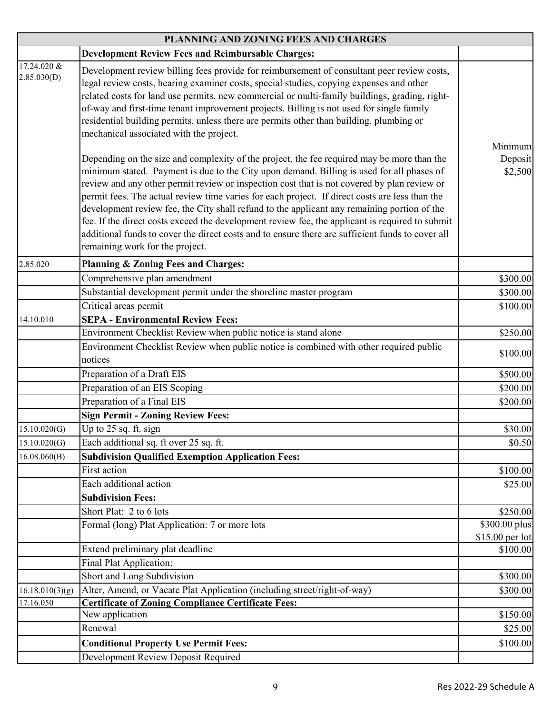|                            | PLANNING AND ZONING FEES AND CHARGES                                                                                                                                                                                                                                                                                                                                                                                                                                                                                                                                                                                                                                                                                              |                                  |
|----------------------------|-----------------------------------------------------------------------------------------------------------------------------------------------------------------------------------------------------------------------------------------------------------------------------------------------------------------------------------------------------------------------------------------------------------------------------------------------------------------------------------------------------------------------------------------------------------------------------------------------------------------------------------------------------------------------------------------------------------------------------------|----------------------------------|
|                            | <b>Development Review Fees and Reimbursable Charges:</b>                                                                                                                                                                                                                                                                                                                                                                                                                                                                                                                                                                                                                                                                          |                                  |
| 17.24.020 &<br>2.85.030(D) | Development review billing fees provide for reimbursement of consultant peer review costs,<br>legal review costs, hearing examiner costs, special studies, copying expenses and other<br>related costs for land use permits, new commercial or multi-family buildings, grading, right-<br>of-way and first-time tenant improvement projects. Billing is not used for single family<br>residential building permits, unless there are permits other than building, plumbing or<br>mechanical associated with the project.                                                                                                                                                                                                          | Minimum                          |
|                            | Depending on the size and complexity of the project, the fee required may be more than the<br>minimum stated. Payment is due to the City upon demand. Billing is used for all phases of<br>review and any other permit review or inspection cost that is not covered by plan review or<br>permit fees. The actual review time varies for each project. If direct costs are less than the<br>development review fee, the City shall refund to the applicant any remaining portion of the<br>fee. If the direct costs exceed the development review fee, the applicant is required to submit<br>additional funds to cover the direct costs and to ensure there are sufficient funds to cover all<br>remaining work for the project. | Deposit<br>\$2,500               |
| 2.85.020                   | <b>Planning &amp; Zoning Fees and Charges:</b>                                                                                                                                                                                                                                                                                                                                                                                                                                                                                                                                                                                                                                                                                    |                                  |
|                            | Comprehensive plan amendment                                                                                                                                                                                                                                                                                                                                                                                                                                                                                                                                                                                                                                                                                                      | \$300.00                         |
|                            | Substantial development permit under the shoreline master program                                                                                                                                                                                                                                                                                                                                                                                                                                                                                                                                                                                                                                                                 | \$300.00                         |
|                            | Critical areas permit                                                                                                                                                                                                                                                                                                                                                                                                                                                                                                                                                                                                                                                                                                             | \$100.00                         |
| 14.10.010                  | <b>SEPA - Environmental Review Fees:</b>                                                                                                                                                                                                                                                                                                                                                                                                                                                                                                                                                                                                                                                                                          |                                  |
|                            | Environment Checklist Review when public notice is stand alone                                                                                                                                                                                                                                                                                                                                                                                                                                                                                                                                                                                                                                                                    | \$250.00                         |
|                            | Environment Checklist Review when public notice is combined with other required public<br>notices                                                                                                                                                                                                                                                                                                                                                                                                                                                                                                                                                                                                                                 | \$100.00                         |
|                            | Preparation of a Draft EIS                                                                                                                                                                                                                                                                                                                                                                                                                                                                                                                                                                                                                                                                                                        | \$500.00                         |
|                            | Preparation of an EIS Scoping                                                                                                                                                                                                                                                                                                                                                                                                                                                                                                                                                                                                                                                                                                     | \$200.00                         |
|                            | Preparation of a Final EIS                                                                                                                                                                                                                                                                                                                                                                                                                                                                                                                                                                                                                                                                                                        | \$200.00                         |
|                            | <b>Sign Permit - Zoning Review Fees:</b>                                                                                                                                                                                                                                                                                                                                                                                                                                                                                                                                                                                                                                                                                          |                                  |
| 15.10.020(G)               | Up to 25 sq. ft. sign                                                                                                                                                                                                                                                                                                                                                                                                                                                                                                                                                                                                                                                                                                             | \$30.00                          |
| 15.10.020(G)               | Each additional sq. ft over 25 sq. ft.                                                                                                                                                                                                                                                                                                                                                                                                                                                                                                                                                                                                                                                                                            | \$0.50                           |
| 16.08.060(B)               | <b>Subdivision Qualified Exemption Application Fees:</b>                                                                                                                                                                                                                                                                                                                                                                                                                                                                                                                                                                                                                                                                          |                                  |
|                            | First action                                                                                                                                                                                                                                                                                                                                                                                                                                                                                                                                                                                                                                                                                                                      | \$100.00                         |
|                            | Each additional action                                                                                                                                                                                                                                                                                                                                                                                                                                                                                                                                                                                                                                                                                                            | \$25.00                          |
|                            | <b>Subdivision Fees:</b>                                                                                                                                                                                                                                                                                                                                                                                                                                                                                                                                                                                                                                                                                                          |                                  |
|                            | Short Plat: 2 to 6 lots                                                                                                                                                                                                                                                                                                                                                                                                                                                                                                                                                                                                                                                                                                           | \$250.00                         |
|                            | Formal (long) Plat Application: 7 or more lots                                                                                                                                                                                                                                                                                                                                                                                                                                                                                                                                                                                                                                                                                    | \$300.00 plus<br>\$15.00 per lot |
|                            | Extend preliminary plat deadline                                                                                                                                                                                                                                                                                                                                                                                                                                                                                                                                                                                                                                                                                                  | \$100.00                         |
|                            | Final Plat Application:                                                                                                                                                                                                                                                                                                                                                                                                                                                                                                                                                                                                                                                                                                           |                                  |
|                            | Short and Long Subdivision                                                                                                                                                                                                                                                                                                                                                                                                                                                                                                                                                                                                                                                                                                        | \$300.00                         |
| 16.18.010(3)(g)            | Alter, Amend, or Vacate Plat Application (including street/right-of-way)                                                                                                                                                                                                                                                                                                                                                                                                                                                                                                                                                                                                                                                          | \$300.00                         |
| 17.16.050                  | <b>Certificate of Zoning Compliance Certificate Fees:</b>                                                                                                                                                                                                                                                                                                                                                                                                                                                                                                                                                                                                                                                                         |                                  |
|                            | New application                                                                                                                                                                                                                                                                                                                                                                                                                                                                                                                                                                                                                                                                                                                   | \$150.00                         |
|                            | Renewal                                                                                                                                                                                                                                                                                                                                                                                                                                                                                                                                                                                                                                                                                                                           | \$25.00                          |
|                            | <b>Conditional Property Use Permit Fees:</b>                                                                                                                                                                                                                                                                                                                                                                                                                                                                                                                                                                                                                                                                                      | \$100.00                         |
|                            | Development Review Deposit Required                                                                                                                                                                                                                                                                                                                                                                                                                                                                                                                                                                                                                                                                                               |                                  |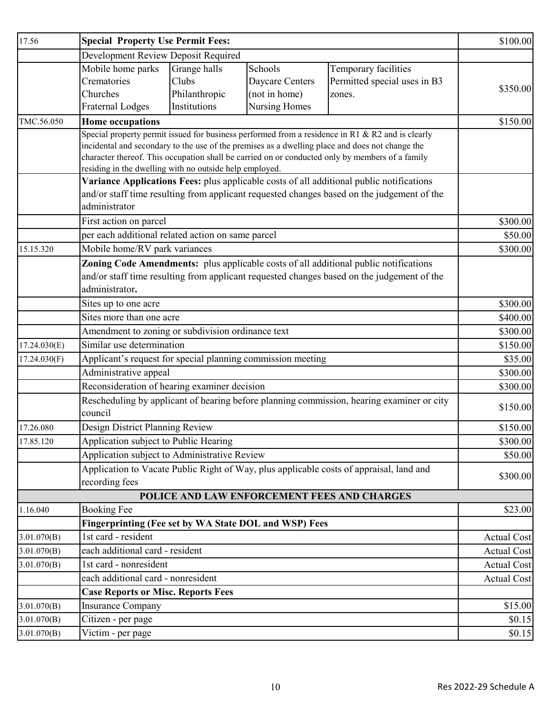| 17.56        | <b>Special Property Use Permit Fees:</b>                                                         | \$100.00      |                 |                                                                                                 |                    |
|--------------|--------------------------------------------------------------------------------------------------|---------------|-----------------|-------------------------------------------------------------------------------------------------|--------------------|
|              | Development Review Deposit Required                                                              |               |                 |                                                                                                 |                    |
|              | Mobile home parks                                                                                | Grange halls  | Schools         | Temporary facilities                                                                            |                    |
|              | Crematories                                                                                      | Clubs         | Daycare Centers | Permitted special uses in B3                                                                    | \$350.00           |
|              | Churches                                                                                         | Philanthropic | (not in home)   | zones.                                                                                          |                    |
|              | <b>Fraternal Lodges</b>                                                                          | Institutions  | Nursing Homes   |                                                                                                 |                    |
| TMC.56.050   | <b>Home occupations</b>                                                                          |               |                 |                                                                                                 | \$150.00           |
|              | Special property permit issued for business performed from a residence in R1 & R2 and is clearly |               |                 |                                                                                                 |                    |
|              | incidental and secondary to the use of the premises as a dwelling place and does not change the  |               |                 |                                                                                                 |                    |
|              | residing in the dwelling with no outside help employed.                                          |               |                 | character thereof. This occupation shall be carried on or conducted only by members of a family |                    |
|              |                                                                                                  |               |                 | Variance Applications Fees: plus applicable costs of all additional public notifications        |                    |
|              |                                                                                                  |               |                 | and/or staff time resulting from applicant requested changes based on the judgement of the      |                    |
|              | administrator                                                                                    |               |                 |                                                                                                 |                    |
|              | First action on parcel                                                                           |               |                 |                                                                                                 | \$300.00           |
|              | per each additional related action on same parcel                                                |               |                 |                                                                                                 | \$50.00            |
| 15.15.320    | Mobile home/RV park variances                                                                    |               |                 |                                                                                                 | \$300.00           |
|              |                                                                                                  |               |                 | Zoning Code Amendments: plus applicable costs of all additional public notifications            |                    |
|              |                                                                                                  |               |                 | and/or staff time resulting from applicant requested changes based on the judgement of the      |                    |
|              | administrator.                                                                                   |               |                 |                                                                                                 |                    |
|              | Sites up to one acre                                                                             |               |                 |                                                                                                 | \$300.00           |
|              | Sites more than one acre                                                                         |               |                 |                                                                                                 | \$400.00           |
|              | Amendment to zoning or subdivision ordinance text                                                | \$300.00      |                 |                                                                                                 |                    |
| 17.24.030(E) | Similar use determination                                                                        |               |                 |                                                                                                 | \$150.00           |
| 17.24.030(F) | Applicant's request for special planning commission meeting                                      |               |                 |                                                                                                 | \$35.00            |
|              | Administrative appeal                                                                            |               |                 |                                                                                                 | \$300.00           |
|              | Reconsideration of hearing examiner decision                                                     | \$300.00      |                 |                                                                                                 |                    |
|              |                                                                                                  |               |                 | Rescheduling by applicant of hearing before planning commission, hearing examiner or city       |                    |
|              | council                                                                                          | \$150.00      |                 |                                                                                                 |                    |
| 17.26.080    | Design District Planning Review                                                                  |               |                 |                                                                                                 | \$150.00           |
| 17.85.120    | Application subject to Public Hearing                                                            |               |                 | \$300.00                                                                                        |                    |
|              | Application subject to Administrative Review                                                     |               |                 |                                                                                                 | \$50.00            |
|              | Application to Vacate Public Right of Way, plus applicable costs of appraisal, land and          | \$300.00      |                 |                                                                                                 |                    |
|              | recording fees                                                                                   |               |                 |                                                                                                 |                    |
|              |                                                                                                  |               |                 | POLICE AND LAW ENFORCEMENT FEES AND CHARGES                                                     |                    |
| 1.16.040     | <b>Booking Fee</b>                                                                               |               |                 |                                                                                                 | \$23.00            |
|              | Fingerprinting (Fee set by WA State DOL and WSP) Fees                                            |               |                 |                                                                                                 |                    |
| 3.01.070(B)  | 1st card - resident                                                                              |               |                 |                                                                                                 | <b>Actual Cost</b> |
| 3.01.070(B)  | each additional card - resident                                                                  |               |                 |                                                                                                 | <b>Actual Cost</b> |
| 3.01.070(B)  | 1st card - nonresident                                                                           |               |                 |                                                                                                 | <b>Actual Cost</b> |
|              | each additional card - nonresident                                                               |               |                 |                                                                                                 | <b>Actual Cost</b> |
|              | <b>Case Reports or Misc. Reports Fees</b>                                                        |               |                 |                                                                                                 |                    |
| 3.01.070(B)  | <b>Insurance Company</b>                                                                         |               |                 |                                                                                                 | \$15.00            |
| 3.01.070(B)  | Citizen - per page                                                                               |               |                 |                                                                                                 | \$0.15             |
| 3.01.070(B)  | Victim - per page                                                                                |               |                 |                                                                                                 | \$0.15             |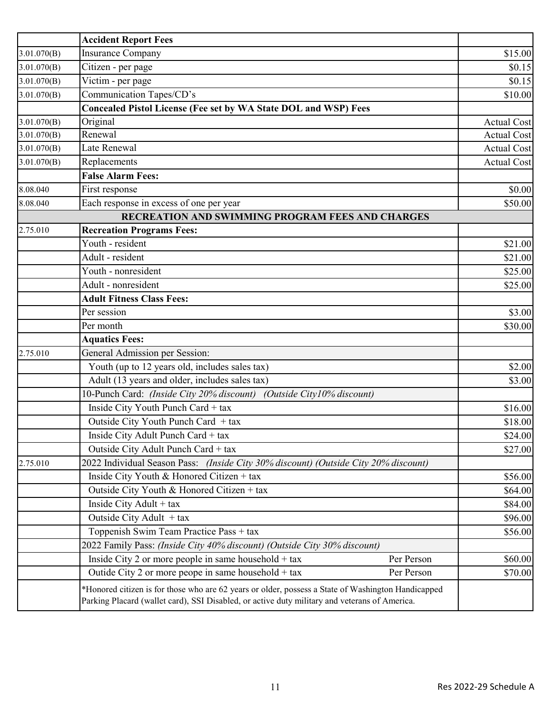|             | <b>Accident Report Fees</b>                                                                                                                                                                         |                    |
|-------------|-----------------------------------------------------------------------------------------------------------------------------------------------------------------------------------------------------|--------------------|
| 3.01.070(B) | <b>Insurance Company</b>                                                                                                                                                                            | \$15.00            |
| 3.01.070(B) | Citizen - per page                                                                                                                                                                                  | \$0.15             |
| 3.01.070(B) | Victim - per page                                                                                                                                                                                   | \$0.15             |
| 3.01.070(B) | Communication Tapes/CD's                                                                                                                                                                            | \$10.00            |
|             | <b>Concealed Pistol License (Fee set by WA State DOL and WSP) Fees</b>                                                                                                                              |                    |
| 3.01.070(B) | Original                                                                                                                                                                                            | Actual Cost        |
| 3.01.070(B) | Renewal                                                                                                                                                                                             | <b>Actual Cost</b> |
| 3.01.070(B) | Late Renewal                                                                                                                                                                                        | <b>Actual Cost</b> |
| 3.01.070(B) | Replacements                                                                                                                                                                                        | <b>Actual Cost</b> |
|             | <b>False Alarm Fees:</b>                                                                                                                                                                            |                    |
| 8.08.040    | First response                                                                                                                                                                                      | \$0.00             |
| 8.08.040    | Each response in excess of one per year                                                                                                                                                             | \$50.00            |
|             | RECREATION AND SWIMMING PROGRAM FEES AND CHARGES                                                                                                                                                    |                    |
| 2.75.010    | <b>Recreation Programs Fees:</b>                                                                                                                                                                    |                    |
|             | Youth - resident                                                                                                                                                                                    | \$21.00            |
|             | Adult - resident                                                                                                                                                                                    | \$21.00            |
|             | Youth - nonresident                                                                                                                                                                                 | \$25.00            |
|             | Adult - nonresident                                                                                                                                                                                 | \$25.00            |
|             | <b>Adult Fitness Class Fees:</b>                                                                                                                                                                    |                    |
|             | Per session                                                                                                                                                                                         | \$3.00             |
|             | Per month                                                                                                                                                                                           | \$30.00            |
|             | <b>Aquatics Fees:</b>                                                                                                                                                                               |                    |
| 2.75.010    | General Admission per Session:                                                                                                                                                                      |                    |
|             | Youth (up to 12 years old, includes sales tax)                                                                                                                                                      | \$2.00             |
|             | Adult (13 years and older, includes sales tax)                                                                                                                                                      | \$3.00             |
|             | 10-Punch Card: (Inside City 20% discount)<br>(Outside City10% discount)                                                                                                                             |                    |
|             | Inside City Youth Punch Card + tax                                                                                                                                                                  | \$16.00            |
|             | Outside City Youth Punch Card + tax                                                                                                                                                                 | \$18.00            |
|             | Inside City Adult Punch Card + tax                                                                                                                                                                  | \$24.00            |
|             | Outside City Adult Punch Card + tax                                                                                                                                                                 | \$27.00            |
| 2.75.010    | 2022 Individual Season Pass: (Inside City 30% discount) (Outside City 20% discount)                                                                                                                 |                    |
|             | Inside City Youth & Honored Citizen + tax                                                                                                                                                           | \$56.00            |
|             | Outside City Youth & Honored Citizen + tax                                                                                                                                                          | \$64.00            |
|             | Inside City Adult + $tax$                                                                                                                                                                           | \$84.00            |
|             | Outside City Adult + tax                                                                                                                                                                            | \$96.00            |
|             | Toppenish Swim Team Practice Pass + tax                                                                                                                                                             | \$56.00            |
|             | 2022 Family Pass: (Inside City 40% discount) (Outside City 30% discount)                                                                                                                            |                    |
|             | Inside City 2 or more people in same household $+$ tax<br>Per Person                                                                                                                                | \$60.00            |
|             | Outide City 2 or more peope in same household $+$ tax<br>Per Person                                                                                                                                 | \$70.00            |
|             | *Honored citizen is for those who are 62 years or older, possess a State of Washington Handicapped<br>Parking Placard (wallet card), SSI Disabled, or active duty military and veterans of America. |                    |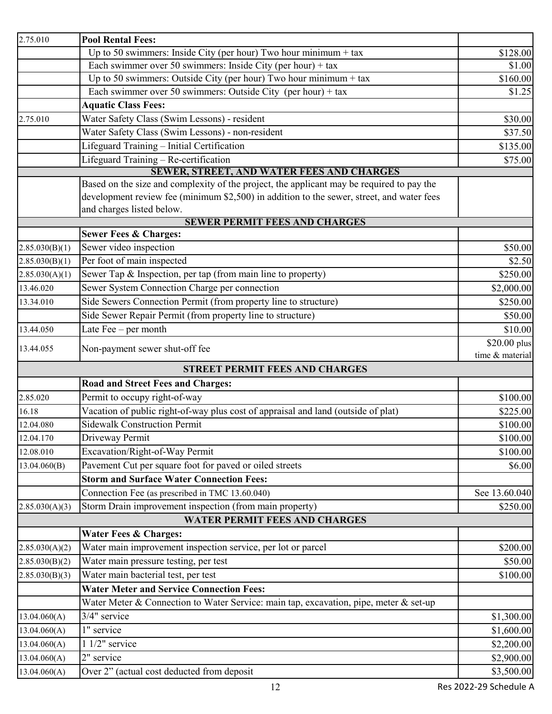| 2.75.010       | <b>Pool Rental Fees:</b>                                                                  |                 |
|----------------|-------------------------------------------------------------------------------------------|-----------------|
|                | Up to 50 swimmers: Inside City (per hour) Two hour minimum $+$ tax                        | \$128.00        |
|                | Each swimmer over 50 swimmers: Inside City (per hour) + tax                               | \$1.00          |
|                | Up to 50 swimmers: Outside City (per hour) Two hour minimum + tax                         | \$160.00        |
|                | Each swimmer over 50 swimmers: Outside City (per hour) + tax                              | \$1.25          |
|                | <b>Aquatic Class Fees:</b>                                                                |                 |
| 2.75.010       | Water Safety Class (Swim Lessons) - resident                                              | \$30.00         |
|                | Water Safety Class (Swim Lessons) - non-resident                                          | \$37.50         |
|                | Lifeguard Training - Initial Certification                                                | \$135.00        |
|                | Lifeguard Training - Re-certification                                                     | \$75.00         |
|                | SEWER, STREET, AND WATER FEES AND CHARGES                                                 |                 |
|                | Based on the size and complexity of the project, the applicant may be required to pay the |                 |
|                | development review fee (minimum \$2,500) in addition to the sewer, street, and water fees |                 |
|                | and charges listed below.<br><b>SEWER PERMIT FEES AND CHARGES</b>                         |                 |
|                | <b>Sewer Fees &amp; Charges:</b>                                                          |                 |
| 2.85.030(B)(1) | Sewer video inspection                                                                    | \$50.00         |
| 2.85.030(B)(1) | Per foot of main inspected                                                                | \$2.50          |
| 2.85.030(A)(1) | Sewer Tap & Inspection, per tap (from main line to property)                              | \$250.00        |
| 13.46.020      | Sewer System Connection Charge per connection                                             | \$2,000.00      |
| 13.34.010      | Side Sewers Connection Permit (from property line to structure)                           | \$250.00        |
|                | Side Sewer Repair Permit (from property line to structure)                                | \$50.00         |
| 13.44.050      | Late Fee - per month                                                                      | \$10.00         |
|                |                                                                                           | $$20.00$ plus   |
| 13.44.055      | Non-payment sewer shut-off fee                                                            | time & material |
|                | <b>STREET PERMIT FEES AND CHARGES</b>                                                     |                 |
|                | <b>Road and Street Fees and Charges:</b>                                                  |                 |
| 2.85.020       | Permit to occupy right-of-way                                                             | \$100.00        |
| 16.18          | Vacation of public right-of-way plus cost of appraisal and land (outside of plat)         | \$225.00        |
| 12.04.080      | <b>Sidewalk Construction Permit</b>                                                       | \$100.00        |
| 12.04.170      | Driveway Permit                                                                           | \$100.00        |
| 12.08.010      | Excavation/Right-of-Way Permit                                                            | \$100.00        |
| 13.04.060(B)   | Pavement Cut per square foot for paved or oiled streets                                   | \$6.00          |
|                | <b>Storm and Surface Water Connection Fees:</b>                                           |                 |
|                | Connection Fee (as prescribed in TMC 13.60.040)                                           | See 13.60.040   |
| 2.85.030(A)(3) | Storm Drain improvement inspection (from main property)                                   | \$250.00        |
|                | <b>WATER PERMIT FEES AND CHARGES</b>                                                      |                 |
|                | <b>Water Fees &amp; Charges:</b>                                                          |                 |
| 2.85.030(A)(2) | Water main improvement inspection service, per lot or parcel                              | \$200.00        |
| 2.85.030(B)(2) | Water main pressure testing, per test                                                     | \$50.00         |
| 2.85.030(B)(3) | Water main bacterial test, per test                                                       | \$100.00        |
|                | <b>Water Meter and Service Connection Fees:</b>                                           |                 |
|                | Water Meter & Connection to Water Service: main tap, excavation, pipe, meter & set-up     |                 |
| 13.04.060(A)   | 3/4" service                                                                              | \$1,300.00      |
| 13.04.060(A)   | 1" service                                                                                | \$1,600.00      |
| 13.04.060(A)   | $11/2$ " service                                                                          | \$2,200.00      |
| 13.04.060(A)   | 2" service                                                                                | \$2,900.00      |
| 13.04.060(A)   | Over 2" (actual cost deducted from deposit                                                | \$3,500.00      |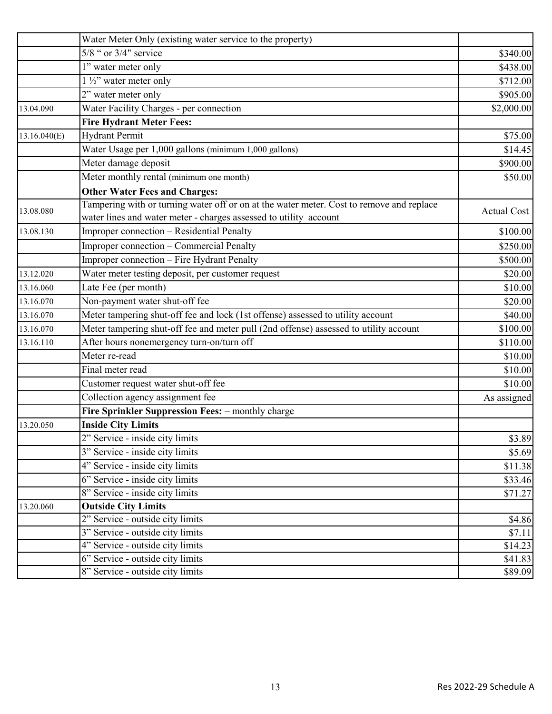|              | Water Meter Only (existing water service to the property)                                                                                                     |                    |
|--------------|---------------------------------------------------------------------------------------------------------------------------------------------------------------|--------------------|
|              | 5/8 " or 3/4" service                                                                                                                                         | \$340.00           |
|              | 1" water meter only                                                                                                                                           | \$438.00           |
|              | $1\frac{1}{2}$ " water meter only                                                                                                                             | \$712.00           |
|              | 2" water meter only                                                                                                                                           | \$905.00           |
| 13.04.090    | Water Facility Charges - per connection                                                                                                                       | \$2,000.00         |
|              | <b>Fire Hydrant Meter Fees:</b>                                                                                                                               |                    |
| 13.16.040(E) | <b>Hydrant Permit</b>                                                                                                                                         | \$75.00            |
|              | Water Usage per 1,000 gallons (minimum 1,000 gallons)                                                                                                         | \$14.45            |
|              | Meter damage deposit                                                                                                                                          | \$900.00           |
|              | Meter monthly rental (minimum one month)                                                                                                                      | \$50.00            |
|              | <b>Other Water Fees and Charges:</b>                                                                                                                          |                    |
| 13.08.080    | Tampering with or turning water off or on at the water meter. Cost to remove and replace<br>water lines and water meter - charges assessed to utility account | <b>Actual Cost</b> |
| 13.08.130    | Improper connection - Residential Penalty                                                                                                                     | \$100.00           |
|              | Improper connection – Commercial Penalty                                                                                                                      | \$250.00           |
|              | Improper connection - Fire Hydrant Penalty                                                                                                                    | \$500.00           |
| 13.12.020    | Water meter testing deposit, per customer request                                                                                                             | \$20.00            |
| 13.16.060    | Late Fee (per month)                                                                                                                                          | \$10.00            |
| 13.16.070    | Non-payment water shut-off fee                                                                                                                                | \$20.00            |
| 13.16.070    | Meter tampering shut-off fee and lock (1st offense) assessed to utility account                                                                               | \$40.00            |
| 13.16.070    | Meter tampering shut-off fee and meter pull (2nd offense) assessed to utility account                                                                         | \$100.00           |
| 13.16.110    | After hours nonemergency turn-on/turn off                                                                                                                     | \$110.00           |
|              | Meter re-read                                                                                                                                                 | \$10.00            |
|              | Final meter read                                                                                                                                              | \$10.00            |
|              | Customer request water shut-off fee                                                                                                                           | \$10.00            |
|              | Collection agency assignment fee                                                                                                                              | As assigned        |
|              | Fire Sprinkler Suppression Fees: - monthly charge                                                                                                             |                    |
| 13.20.050    | <b>Inside City Limits</b>                                                                                                                                     |                    |
|              | 2" Service - inside city limits                                                                                                                               | \$3.89             |
|              | 3" Service - inside city limits                                                                                                                               | \$5.69             |
|              | 4" Service - inside city limits                                                                                                                               | \$11.38            |
|              | 6" Service - inside city limits                                                                                                                               | \$33.46            |
|              | 8" Service - inside city limits                                                                                                                               | \$71.27            |
| 13.20.060    | <b>Outside City Limits</b>                                                                                                                                    |                    |
|              | 2" Service - outside city limits                                                                                                                              | \$4.86             |
|              | 3" Service - outside city limits                                                                                                                              | \$7.11             |
|              | 4" Service - outside city limits                                                                                                                              | \$14.23            |
|              | 6" Service - outside city limits                                                                                                                              | \$41.83            |
|              | 8" Service - outside city limits                                                                                                                              | \$89.09            |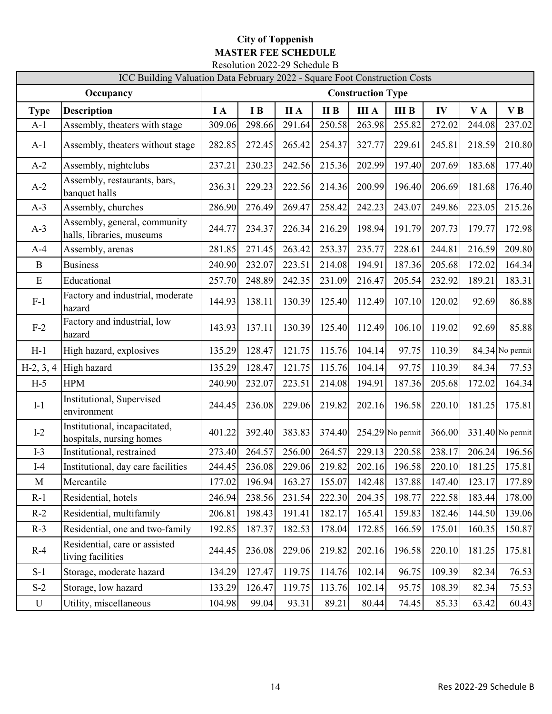## **City of Toppenish MASTER FEE SCHEDULE** Resolution 2022-29 Schedule B

| ICC Building Valuation Data February 2022 - Square Foot Construction Costs |                                                           |                          |        |             |        |              |                    |        |        |                    |
|----------------------------------------------------------------------------|-----------------------------------------------------------|--------------------------|--------|-------------|--------|--------------|--------------------|--------|--------|--------------------|
|                                                                            | Occupancy                                                 | <b>Construction Type</b> |        |             |        |              |                    |        |        |                    |
| <b>Type</b>                                                                | <b>Description</b>                                        | $I\Lambda$               | I B    | <b>II</b> A | II B   | <b>III</b> A | <b>III B</b>       | IV     | VA     | VB                 |
| $A-1$                                                                      | Assembly, theaters with stage                             | 309.06                   | 298.66 | 291.64      | 250.58 | 263.98       | 255.82             | 272.02 | 244.08 | 237.02             |
| $A-1$                                                                      | Assembly, theaters without stage                          | 282.85                   | 272.45 | 265.42      | 254.37 | 327.77       | 229.61             | 245.81 | 218.59 | 210.80             |
| $A-2$                                                                      | Assembly, nightclubs                                      | 237.21                   | 230.23 | 242.56      | 215.36 | 202.99       | 197.40             | 207.69 | 183.68 | 177.40             |
| $A-2$                                                                      | Assembly, restaurants, bars,<br>banquet halls             | 236.31                   | 229.23 | 222.56      | 214.36 | 200.99       | 196.40             | 206.69 | 181.68 | 176.40             |
| $A-3$                                                                      | Assembly, churches                                        | 286.90                   | 276.49 | 269.47      | 258.42 | 242.23       | 243.07             | 249.86 | 223.05 | 215.26             |
| $A-3$                                                                      | Assembly, general, community<br>halls, libraries, museums | 244.77                   | 234.37 | 226.34      | 216.29 | 198.94       | 191.79             | 207.73 | 179.77 | 172.98             |
| $A-4$                                                                      | Assembly, arenas                                          | 281.85                   | 271.45 | 263.42      | 253.37 | 235.77       | 228.61             | 244.81 | 216.59 | 209.80             |
| $\mathbf B$                                                                | <b>Business</b>                                           | 240.90                   | 232.07 | 223.51      | 214.08 | 194.91       | 187.36             | 205.68 | 172.02 | 164.34             |
| E                                                                          | Educational                                               | 257.70                   | 248.89 | 242.35      | 231.09 | 216.47       | 205.54             | 232.92 | 189.21 | 183.31             |
| $F-1$                                                                      | Factory and industrial, moderate<br>hazard                | 144.93                   | 138.11 | 130.39      | 125.40 | 112.49       | 107.10             | 120.02 | 92.69  | 86.88              |
| $F-2$                                                                      | Factory and industrial, low<br>hazard                     | 143.93                   | 137.11 | 130.39      | 125.40 | 112.49       | 106.10             | 119.02 | 92.69  | 85.88              |
| $H-1$                                                                      | High hazard, explosives                                   | 135.29                   | 128.47 | 121.75      | 115.76 | 104.14       | 97.75              | 110.39 |        | 84.34 No permit    |
| $H-2, 3, 4$                                                                | High hazard                                               | 135.29                   | 128.47 | 121.75      | 115.76 | 104.14       | 97.75              | 110.39 | 84.34  | 77.53              |
| $H-5$                                                                      | <b>HPM</b>                                                | 240.90                   | 232.07 | 223.51      | 214.08 | 194.91       | 187.36             | 205.68 | 172.02 | 164.34             |
| $I-1$                                                                      | Institutional, Supervised<br>environment                  | 244.45                   | 236.08 | 229.06      | 219.82 | 202.16       | 196.58             | 220.10 | 181.25 | 175.81             |
| $I-2$                                                                      | Institutional, incapacitated,<br>hospitals, nursing homes | 401.22                   | 392.40 | 383.83      | 374.40 |              | $254.29$ No permit | 366.00 |        | $331.40$ No permit |
| $I-3$                                                                      | Institutional, restrained                                 | 273.40                   | 264.57 | 256.00      | 264.57 | 229.13       | 220.58             | 238.17 | 206.24 | 196.56             |
| $I-4$                                                                      | Institutional, day care facilities                        | 244.45                   | 236.08 | 229.06      | 219.82 | 202.16       | 196.58             | 220.10 | 181.25 | 175.81             |
| $\mathbf{M}$                                                               | Mercantile                                                | 177.02                   | 196.94 | 163.27      | 155.07 | 142.48       | 137.88             | 147.40 | 123.17 | 177.89             |
| $R-1$                                                                      | Residential, hotels                                       | 246.94                   | 238.56 | 231.54      | 222.30 | 204.35       | 198.77             | 222.58 | 183.44 | 178.00             |
| $R-2$                                                                      | Residential, multifamily                                  | 206.81                   | 198.43 | 191.41      | 182.17 | 165.41       | 159.83             | 182.46 | 144.50 | 139.06             |
| $R-3$                                                                      | Residential, one and two-family                           | 192.85                   | 187.37 | 182.53      | 178.04 | 172.85       | 166.59             | 175.01 | 160.35 | 150.87             |
| $R-4$                                                                      | Residential, care or assisted<br>living facilities        | 244.45                   | 236.08 | 229.06      | 219.82 | 202.16       | 196.58             | 220.10 | 181.25 | 175.81             |
| $S-1$                                                                      | Storage, moderate hazard                                  | 134.29                   | 127.47 | 119.75      | 114.76 | 102.14       | 96.75              | 109.39 | 82.34  | 76.53              |
| $S-2$                                                                      | Storage, low hazard                                       | 133.29                   | 126.47 | 119.75      | 113.76 | 102.14       | 95.75              | 108.39 | 82.34  | 75.53              |
| $\mathbf U$                                                                | Utility, miscellaneous                                    | 104.98                   | 99.04  | 93.31       | 89.21  | 80.44        | 74.45              | 85.33  | 63.42  | 60.43              |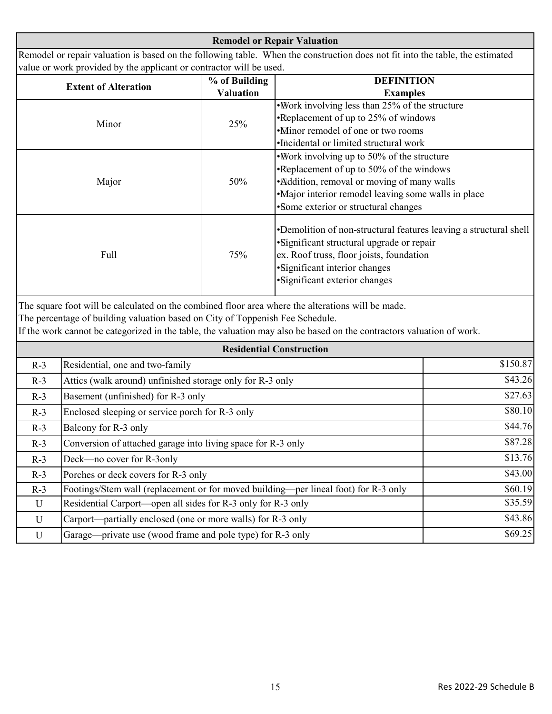**Remodel or Repair Valuation** Remodel or repair valuation is based on the following table. When the construction does not fit into the table, the estimated value or work provided by the applicant or contractor will be used.

|                             |                  | <b>DEFINITION</b>                                                                                                                                                                                                             |
|-----------------------------|------------------|-------------------------------------------------------------------------------------------------------------------------------------------------------------------------------------------------------------------------------|
| <b>Extent of Alteration</b> | % of Building    |                                                                                                                                                                                                                               |
|                             | <b>Valuation</b> | <b>Examples</b>                                                                                                                                                                                                               |
|                             | 25%              | . Work involving less than 25% of the structure                                                                                                                                                                               |
| Minor                       |                  | •Replacement of up to 25% of windows                                                                                                                                                                                          |
|                             |                  | •Minor remodel of one or two rooms                                                                                                                                                                                            |
|                             |                  | •Incidental or limited structural work                                                                                                                                                                                        |
|                             | 50%              | . Work involving up to 50% of the structure                                                                                                                                                                                   |
|                             |                  | •Replacement of up to 50% of the windows                                                                                                                                                                                      |
| Major                       |                  | • Addition, removal or moving of many walls                                                                                                                                                                                   |
|                             |                  | •Major interior remodel leaving some walls in place                                                                                                                                                                           |
|                             |                  | •Some exterior or structural changes                                                                                                                                                                                          |
| Full                        | 75%              | •Demolition of non-structural features leaving a structural shell<br>• Significant structural upgrade or repair<br>ex. Roof truss, floor joists, foundation<br>·Significant interior changes<br>•Significant exterior changes |

The square foot will be calculated on the combined floor area where the alterations will be made.

The percentage of building valuation based on City of Toppenish Fee Schedule.

If the work cannot be categorized in the table, the valuation may also be based on the contractors valuation of work.

| <b>Residential Construction</b> |                                                                                     |          |  |  |
|---------------------------------|-------------------------------------------------------------------------------------|----------|--|--|
| $R-3$                           | Residential, one and two-family                                                     | \$150.87 |  |  |
| $R-3$                           | Attics (walk around) unfinished storage only for R-3 only                           | \$43.26  |  |  |
| $R-3$                           | Basement (unfinished) for R-3 only                                                  | \$27.63  |  |  |
| $R-3$                           | Enclosed sleeping or service porch for R-3 only                                     | \$80.10  |  |  |
| $R-3$                           | Balcony for R-3 only                                                                | \$44.76  |  |  |
| $R-3$                           | Conversion of attached garage into living space for R-3 only                        | \$87.28  |  |  |
| $R-3$                           | Deck—no cover for R-3only                                                           | \$13.76  |  |  |
| $R-3$                           | Porches or deck covers for R-3 only                                                 | \$43.00  |  |  |
| $R-3$                           | Footings/Stem wall (replacement or for moved building—per lineal foot) for R-3 only | \$60.19  |  |  |
| U                               | Residential Carport—open all sides for R-3 only for R-3 only                        | \$35.59  |  |  |
| $\mathbf U$                     | Carport—partially enclosed (one or more walls) for R-3 only                         | \$43.86  |  |  |
| U                               | Garage—private use (wood frame and pole type) for R-3 only                          | \$69.25  |  |  |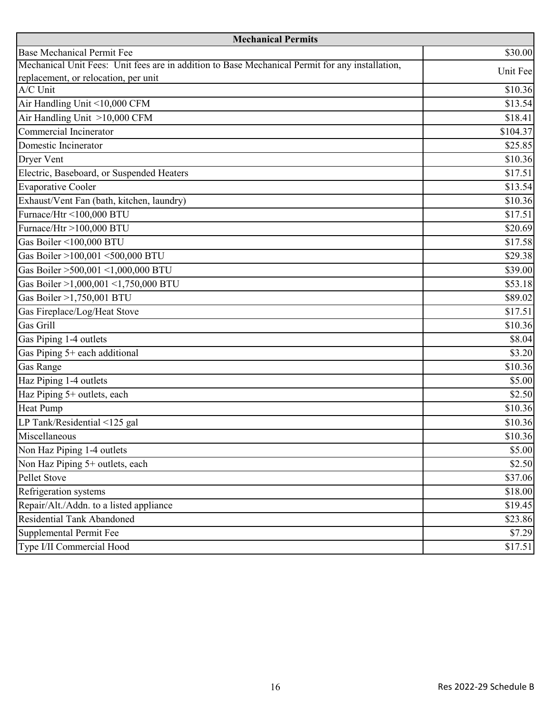| <b>Mechanical Permits</b>                                                                       |          |  |  |  |
|-------------------------------------------------------------------------------------------------|----------|--|--|--|
| <b>Base Mechanical Permit Fee</b>                                                               | \$30.00  |  |  |  |
| Mechanical Unit Fees: Unit fees are in addition to Base Mechanical Permit for any installation, | Unit Fee |  |  |  |
| replacement, or relocation, per unit                                                            |          |  |  |  |
| A/C Unit                                                                                        | \$10.36  |  |  |  |
| Air Handling Unit <10,000 CFM                                                                   | \$13.54  |  |  |  |
| Air Handling Unit >10,000 CFM                                                                   | \$18.41  |  |  |  |
| Commercial Incinerator                                                                          | \$104.37 |  |  |  |
| Domestic Incinerator                                                                            | \$25.85  |  |  |  |
| Dryer Vent                                                                                      | \$10.36  |  |  |  |
| Electric, Baseboard, or Suspended Heaters                                                       | \$17.51  |  |  |  |
| <b>Evaporative Cooler</b>                                                                       | \$13.54  |  |  |  |
| Exhaust/Vent Fan (bath, kitchen, laundry)                                                       | \$10.36  |  |  |  |
| Furnace/Htr <100,000 BTU                                                                        | \$17.51  |  |  |  |
| Furnace/Htr >100,000 BTU                                                                        | \$20.69  |  |  |  |
| Gas Boiler <100,000 BTU                                                                         | \$17.58  |  |  |  |
| Gas Boiler >100,001 <500,000 BTU                                                                | \$29.38  |  |  |  |
| Gas Boiler >500,001 <1,000,000 BTU                                                              | \$39.00  |  |  |  |
| Gas Boiler >1,000,001 <1,750,000 BTU                                                            | \$53.18  |  |  |  |
| Gas Boiler >1,750,001 BTU                                                                       | \$89.02  |  |  |  |
| Gas Fireplace/Log/Heat Stove                                                                    | \$17.51  |  |  |  |
| Gas Grill                                                                                       | \$10.36  |  |  |  |
| Gas Piping 1-4 outlets                                                                          | \$8.04   |  |  |  |
| Gas Piping 5+ each additional                                                                   | \$3.20   |  |  |  |
| <b>Gas Range</b>                                                                                | \$10.36  |  |  |  |
| Haz Piping 1-4 outlets                                                                          | \$5.00   |  |  |  |
| Haz Piping 5+ outlets, each                                                                     | \$2.50   |  |  |  |
| <b>Heat Pump</b>                                                                                | \$10.36  |  |  |  |
| LP Tank/Residential <125 gal                                                                    | \$10.36  |  |  |  |
| Miscellaneous                                                                                   | \$10.36  |  |  |  |
| Non Haz Piping 1-4 outlets                                                                      | \$5.00   |  |  |  |
| Non Haz Piping 5+ outlets, each                                                                 | \$2.50   |  |  |  |
| Pellet Stove                                                                                    | \$37.06  |  |  |  |
| Refrigeration systems                                                                           | \$18.00  |  |  |  |
| Repair/Alt./Addn. to a listed appliance                                                         | \$19.45  |  |  |  |
| <b>Residential Tank Abandoned</b>                                                               | \$23.86  |  |  |  |
| Supplemental Permit Fee                                                                         | \$7.29   |  |  |  |
| Type I/II Commercial Hood                                                                       | \$17.51  |  |  |  |
|                                                                                                 |          |  |  |  |